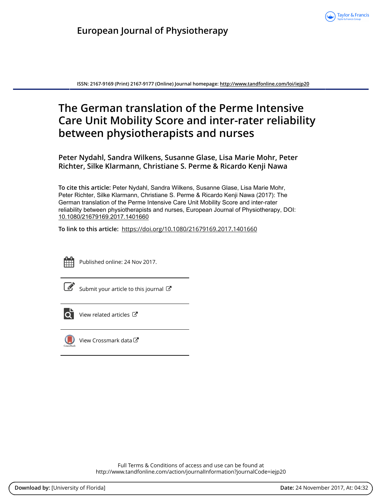

**ISSN: 2167-9169 (Print) 2167-9177 (Online) Journal homepage:<http://www.tandfonline.com/loi/iejp20>**

# **The German translation of the Perme Intensive Care Unit Mobility Score and inter-rater reliability between physiotherapists and nurses**

**Peter Nydahl, Sandra Wilkens, Susanne Glase, Lisa Marie Mohr, Peter Richter, Silke Klarmann, Christiane S. Perme & Ricardo Kenji Nawa**

**To cite this article:** Peter Nydahl, Sandra Wilkens, Susanne Glase, Lisa Marie Mohr, Peter Richter, Silke Klarmann, Christiane S. Perme & Ricardo Kenji Nawa (2017): The German translation of the Perme Intensive Care Unit Mobility Score and inter-rater reliability between physiotherapists and nurses, European Journal of Physiotherapy, DOI: [10.1080/21679169.2017.1401660](http://www.tandfonline.com/action/showCitFormats?doi=10.1080/21679169.2017.1401660)

**To link to this article:** <https://doi.org/10.1080/21679169.2017.1401660>



Published online: 24 Nov 2017.



 $\overline{\mathscr{L}}$  [Submit your article to this journal](http://www.tandfonline.com/action/authorSubmission?journalCode=iejp20&show=instructions)  $\mathbb{F}$ 



 $\overrightarrow{O}$  [View related articles](http://www.tandfonline.com/doi/mlt/10.1080/21679169.2017.1401660)  $\overrightarrow{C}$ 



 $\bigcirc$  [View Crossmark data](http://crossmark.crossref.org/dialog/?doi=10.1080/21679169.2017.1401660&domain=pdf&date_stamp=2017-11-24) $\mathbb{Z}$ 

Full Terms & Conditions of access and use can be found at <http://www.tandfonline.com/action/journalInformation?journalCode=iejp20>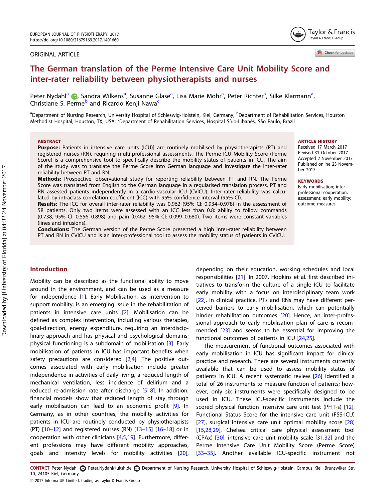#### <span id="page-1-0"></span>ORIGINAL ARTICLE

Taylor & Francis Taylor & Francis Group

ARTICLE HISTORY Received 17 March 2017 Revised 31 October 2017 Accepted 2 November 2017 Published online 23 Novem-

Early mobilisation; interprofessional cooperation; assessment; early mobility; outcome measures

ber 2017 **KEYWORDS** 

Check for updates

# The German translation of the Perme Intensive Care Unit Mobility Score and inter-rater reliability between physiotherapists and nurses

Peter Nydahl<sup>a</sup> (D, Sandra Wilkens<sup>a</sup>, Susanne Glase<sup>a</sup>, Lisa Marie Mohr<sup>a</sup>, Peter Richter<sup>a</sup>, Silke Klarmann<sup>a</sup>, Christiane S. Perme<sup>b</sup> and Ricardo Kenji Nawa<sup>c</sup>

<sup>a</sup>Department of Nursing Research, University Hospital of Schleswig-Holstein, Kiel, Germany; <sup>b</sup>Department of Rehabilitation Services, Houston Methodist Hospital, Houston, TX, USA; <sup>c</sup>Department of Rehabilitation Services, Hospital Sírio-Libanês, São Paulo, Brazil

#### **ABSTRACT**

Purpose: Patients in intensive care units (ICU)] are routinely mobilised by physiotherapists (PT) and registered nurses (RN), requiring multi-professional assessments. The Perme ICU Mobility Score (Perme Score) is a comprehensive tool to specifically describe the mobility status of patients in ICU. The aim of the study was to translate the Perme Score into German language and investigate the inter-rater reliability between PT and RN.

Methods: Prospective, observational study for reporting reliability between PT and RN. The Perme Score was translated from English to the German language in a regularised translation process. PT and RN assessed patients independently in a cardio-vascular ICU (CVICU). Inter-rater reliability was calculated by intraclass correlation coefficient (ICC) with 95% confidence interval (95% CI).

Results: The ICC for overall inter-rater reliability was 0.962 (95% CI: 0.934–0.978) in the assessment of 58 patients. Only two items were assessed with an ICC less than 0.8: ability to follow commands (0.738, 95% CI: 0.556–0.898) and pain (0.462, 95% CI: 0.099–0.680). Two items were constant variables (lines and infusions).

Conclusions: The German version of the Perme Score presented a high inter-rater reliability between PT and RN in CVICU and is an inter-professional tool to assess the mobility status of patients in CVICU.

# Introduction

Mobility can be described as the functional ability to move around in the environment, and can be used as a measure for independence [[1\]](#page-6-0). Early Mobilisation, as intervention to support mobility, is an emerging issue in the rehabilitation of patients in intensive care units [[2\]](#page-6-0). Mobilisation can be defined as complex intervention, including various therapies, goal-direction, energy expenditure, requiring an interdisciplinary approach and has physical and psychological domains; physical functioning is a subdomain of mobilisation [[3](#page-6-0)]. Early mobilisation of patients in ICU has important benefits when safety precautions are considered  $[2,4]$  $[2,4]$  $[2,4]$ . The positive outcomes associated with early mobilisation include greater independence in activities of daily living, a reduced length of mechanical ventilation, less incidence of delirium and a reduced re-admission rate after discharge [5–[8\]](#page-6-0). In addition, financial models show that reduced length of stay through early mobilisation can lead to an economic profit [[9\]](#page-6-0). In Germany, as in other countries, the mobility activities for patients in ICU are routinely conducted by physiotherapists (PT) [10–[12\]](#page-6-0) and registered nurses (RN) [13–[15\]](#page-6-0) [16–[18\]](#page-6-0) or in cooperation with other clinicians [[4,5,19](#page-6-0)]. Furthermore, different professions may have different mobility approaches, goals and intensity levels for mobility activities [\[20](#page-6-0)],

depending on their education, working schedules and local responsibilities [\[21\]](#page-6-0). In 2007, Hopkins et al. first described initiatives to transform the culture of a single ICU to facilitate early mobility with a focus on interdisciplinary team work [\[22](#page-6-0)]. In clinical practice, PTs and RNs may have different perceived barriers to early mobilisation, which can potentially hinder rehabilitation outcomes [[20](#page-6-0)]. Hence, an inter-professional approach to early mobilisation plan of care is recommended [[23](#page-6-0)] and seems to be essential for improving the functional outcomes of patients in ICU [\[24,25\]](#page-6-0).

The measurement of functional outcomes associated with early mobilisation in ICU has significant impact for clinical practice and research. There are several instruments currently available that can be used to assess mobility status of patients in ICU. A recent systematic review [\[26\]](#page-6-0) identified a total of 26 instruments to measure function of patients; however, only six instruments were specifically designed to be used in ICU. These ICU-specific instruments include the scored physical function intensive care unit test (PFIT-s) [\[12\]](#page-6-0), Functional Status Score for the intensive care unit (FSS-ICU) [\[27](#page-6-0)], surgical intensive care unit optimal mobility score [\[28\]](#page-6-0) [\[15,28,](#page-6-0)[29](#page-7-0)], Chelsea critical care physical assessment tool (CPAx)  $[30]$ , intensive care unit mobility scale  $[31,32]$  and the Perme Intensive Care Unit Mobility Score (Perme Score) [33–[35\]](#page-7-0). Another available ICU-specific instrument not

CONTACT Peter Nydahl Peter.Nydahl@uksh.de Department of Nursing Research, University Hospital of Schleswig-Holstein, Campus Kiel, Brunswiker Str. 10, 24105 Kiel, Germany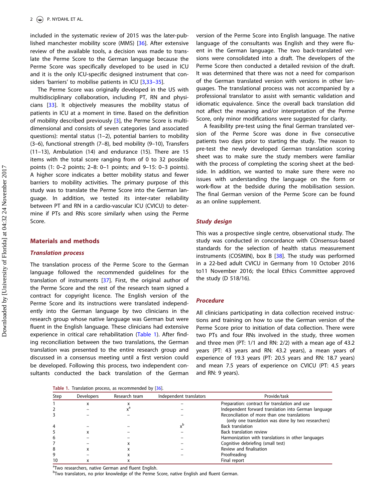<span id="page-2-0"></span>included in the systematic review of 2015 was the later-published manchester mobility score (MMS) [\[36](#page-7-0)]. After extensive review of the available tools, a decision was made to translate the Perme Score to the German language because the Perme Score was specifically developed to be used in ICU and it is the only ICU-specific designed instrument that considers 'barriers' to mobilise patients in ICU [[3,](#page-6-0)33–[35\]](#page-7-0).

The Perme Score was originally developed in the US with multidisciplinary collaboration, including PT, RN and physicians [[33\]](#page-7-0). It objectively measures the mobility status of patients in ICU at a moment in time. Based on the definition of mobility described previously [\[3](#page-6-0)], the Perme Score is multidimensional and consists of seven categories (and associated questions): mental status (1–2), potential barriers to mobility (3–6), functional strength (7–8), bed mobility (9–10), Transfers (11–13), Ambulation (14) and endurance (15). There are 15 items with the total score ranging from of 0 to 32 possible points (1: 0–2 points; 2–8: 0–1 points; and 9–15: 0–3 points). A higher score indicates a better mobility status and fewer barriers to mobility activities. The primary purpose of this study was to translate the Perme Score into the German language. In addition, we tested its inter-rater reliability between PT and RN in a cardio-vascular ICU (CVICU) to determine if PTs and RNs score similarly when using the Perme Score.

# Materials and methods

#### Translation process

The translation process of the Perme Score to the German language followed the recommended guidelines for the translation of instruments [\[37\]](#page-7-0). First, the original author of the Perme Score and the rest of the research team signed a contract for copyright licence. The English version of the Perme Score and its instructions were translated independently into the German language by two clinicians in the research group whose native language was German but were fluent in the English language. These clinicians had extensive experience in critical care rehabilitation (Table 1). After finding reconciliation between the two translations, the German translation was presented to the entire research group and discussed in a consensus meeting until a first version could be developed. Following this process, two independent consultants conducted the back translation of the German

Table 1. Translation process, as recommended by [\[36\]](#page-7-0).

| version of the Perme Score into English language. The native   |
|----------------------------------------------------------------|
| language of the consultants was English and they were flu-     |
| ent in the German language. The two back-translated ver-       |
| sions were consolidated into a draft. The developers of the    |
| Perme Score then conducted a detailed revision of the draft.   |
| It was determined that there was not a need for comparison     |
| of the German translated version with versions in other lan-   |
| quages. The translational process was not accompanied by a     |
| professional translator to assist with semantic validation and |
| idiomatic equivalence. Since the overall back translation did  |
| not affect the meaning and/or interpretation of the Perme      |
| Score, only minor modifications were suggested for clarity.    |

A feasibility pre-test using the final German translated version of the Perme Score was done in five consecutive patients two days prior to starting the study. The reason to pre-test the newly developed German translation scoring sheet was to make sure the study members were familiar with the process of completing the scoring sheet at the bedside. In addition, we wanted to make sure there were no issues with understanding the language on the form or work-flow at the bedside during the mobilisation session. The final German version of the Perme Score can be found as an online supplement.

### Study design

This was a prospective single centre, observational study. The study was conducted in concordance with COnsensus-based standards for the selection of health status measurement instruments (COSMIN), box B  $[38]$ . The study was performed in a 22-bed adult CVICU in Germany from 10 October 2016 to11 November 2016; the local Ethics Committee approved the study (D 518/16).

#### Procedure

All clinicians participating in data collection received instructions and training on how to use the German version of the Perme Score prior to initiation of data collection. There were two PTs and four RNs involved in the study, three women and three men (PT: 1/1 and RN: 2/2) with a mean age of 43.2 years (PT: 43 years and RN: 43.2 years), a mean years of experience of 19.3 years (PT: 20.5 years and RN: 18.7 years) and mean 7.5 years of experience on CVICU (PT: 4.5 years and RN: 9 years).

| Step | <b>Developers</b> | Research team | Independent translators | Provide/task                                                                                       |  |  |
|------|-------------------|---------------|-------------------------|----------------------------------------------------------------------------------------------------|--|--|
|      | $\lambda$         |               |                         | Preparation: contract for translation and use                                                      |  |  |
|      |                   |               |                         | Independent forward translation into German language                                               |  |  |
|      |                   |               |                         | Reconciliation of more than one translations<br>(only one translation was done by two researchers) |  |  |
|      |                   |               |                         | <b>Back translation</b>                                                                            |  |  |
|      |                   |               |                         | Back translation review                                                                            |  |  |
| h    |                   |               |                         | Harmonization with translations in other languages                                                 |  |  |
|      |                   |               |                         | Cognitive debriefing (small test)                                                                  |  |  |
| 8    |                   |               |                         | Review and finalisation                                                                            |  |  |
|      |                   |               |                         | Proofreading                                                                                       |  |  |
|      |                   |               |                         | Final report                                                                                       |  |  |

<sup>a</sup>Two researchers, native German and fluent English.

bTwo translators, no prior knowledge of the Perme Score, native English and fluent German.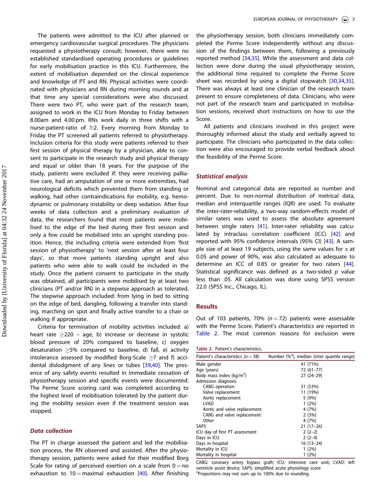<span id="page-3-0"></span>The patients were admitted to the ICU after planned or emergency cardiovascular surgical procedures. The physicians requested a physiotherapy consult; however, there were no established standardised operating procedures or guidelines for early mobilisation practice in this ICU. Furthermore, the extent of mobilisation depended on the clinical experience and knowledge of PT and RN. Physical activities were coordinated with physicians and RN during morning rounds and at that time any special considerations were also discussed. There were two PT, who were part of the research team, assigned to work in the ICU from Monday to Friday between 8.00am and 4.00 pm. RNs work daily in three shifts with a nurse-patient-ratio of 1:2. Every morning from Monday to Friday the PT screened all patients referred to physiotherapy. Inclusion criteria for this study were patients referred to their first session of physical therapy by a physician, able to consent to participate in the research study and physical therapy and equal or older than 18 years. For the purpose of the study, patients were excluded if: they were receiving palliative care, had an amputation of one or more extremities, had neurological deficits which prevented them from standing or walking, had other contraindications for mobility, e.g. hemodynamic or pulmonary instability or deep sedation. After four weeks of data collection and a preliminary evaluation of data, the researchers found that most patients were mobilised to the edge of the bed during their first session and only a few could be mobilised into an upright standing position. Hence, the including criteria were extended from 'first session of physiotherapy' to 'next session after at least four days', so that more patients standing upright and also patients who were able to walk could be included in the study. Once the patient consent to participate in the study was obtained, all participants were mobilised by at least two clinicians (PT and/or RN) in a stepwise approach as tolerated. The stepwise approach included: from lying in bed to sitting on the edge of bed, dangling, following a transfer into standing, marching on spot and finally active transfer to a chair or walking if appropriate.

Criteria for termination of mobility activities included: a) heart rate  $\geq$ 220 – age, b) increase or decrease in systolic blood pressure of 20% compared to baseline, c) oxygen desaturation  $\geq$ 5% compared to baseline, d) fall, e) activity intolerance assessed by modified Borg-Scale  $\geq$ 7 and f) accidental dislodgment of any lines or tubes [\[39,40](#page-7-0)]. The presence of any safety events resulted in immediate cessation of physiotherapy session and specific events were documented. The Perme Score scoring card was completed according to the highest level of mobilisation tolerated by the patient during the mobility session even if the treatment session was stopped.

#### Data collection

The PT in charge assessed the patient and led the mobilisation process, the RN observed and assisted. After the physiotherapy session, patients were asked for their modified Borg Scale for rating of perceived exertion on a scale from  $0 = no$ exhaustion to  $10 =$  maximal exhaustion [\[40](#page-7-0)]. After finishing the physiotherapy session, both clinicians immediately completed the Perme Score independently without any discussion of the findings between them, following a previously reported method [[34,35\]](#page-7-0). While the assessment and data collection were done during the usual physiotherapy session, the additional time required to complete the Perme Score sheet was recorded by using a digital stopwatch [[30,34,35\]](#page-7-0). There was always at least one clinician of the research team present to ensure completeness of data. Clinicians, who were not part of the research team and participated in mobilisation sessions, received short instructions on how to use the Score.

All patients and clinicians involved in this project were thoroughly informed about the study and verbally agreed to participate. The clinicians who participated in the data collection were also encouraged to provide verbal feedback about the feasibility of the Perme Score.

#### Statistical analysis

Nominal and categorical data are reported as number and percent. Due to non-normal distribution of metrical data, median and interquartile ranges (IQR) are used. To evaluate the inter-rater-reliability, a two-way random-effects model of similar raters was used to assess the absolute agreement between single raters [\[41](#page-7-0)]. Inter-rater reliability was calculated by intraclass correlation coefficient (ICC) [[42](#page-7-0)] and reported with 95% confidence intervals (95% CI) [\[43](#page-7-0)]. A sample size of at least 19 subjects, using the same values for  $\alpha$  at 0.05 and power of 90%, was also calculated as adequate to determine an ICC of 0.85 or greater for two raters [\[44\]](#page-7-0). Statistical significance was defined as a two-sided  $p$  value less than .05. All calculation was done using SPSS version 22.0 (SPSS Inc., Chicago, IL).

#### Results

Out of 103 patients, 70% ( $n = 72$ ) patients were assessable with the Perme Score. Patient's characteristics are reported in Table 2. The most common reasons for exclusion were

Table 2. Patient's characteristics.

| Patient's characteristics ( $n = 58$ ) | Number (% <sup>a</sup> ), median (inter quartile range) |  |  |  |  |  |
|----------------------------------------|---------------------------------------------------------|--|--|--|--|--|
| Male gender                            | 41 (71%)                                                |  |  |  |  |  |
| Age (years)                            | $72(61-77)$                                             |  |  |  |  |  |
| Body mass index ( $kg/m2$ )            | $27(24-29)$                                             |  |  |  |  |  |
| Admission diagnosis                    |                                                         |  |  |  |  |  |
| CABG operation                         | 31 (53%)                                                |  |  |  |  |  |
| Valve replacement                      | 11 (19%)                                                |  |  |  |  |  |
| Aortic replacement                     | 5(9%)                                                   |  |  |  |  |  |
| LVAD                                   | $1(2\%)$                                                |  |  |  |  |  |
| Aortic and valve replacement           | 4(7%)                                                   |  |  |  |  |  |
| CABG and valve replacement             | 2(3%)                                                   |  |  |  |  |  |
| Other                                  | 4(7%)                                                   |  |  |  |  |  |
| SAPS                                   | $21(17-26)$                                             |  |  |  |  |  |
| ICU day of first PT assessment         | $2(2-2)$                                                |  |  |  |  |  |
| Days in ICU                            | $2(2-4)$                                                |  |  |  |  |  |
| Days in hospital                       | $16(13-24)$                                             |  |  |  |  |  |
| Mortality in ICU                       | 1(2%)                                                   |  |  |  |  |  |
| Mortality in hospital                  | $1(2\%)$                                                |  |  |  |  |  |
|                                        |                                                         |  |  |  |  |  |

CABG: coronary artery bypass graft; ICU: intensive care unit; LVAD: left ventricle assist device; SAPS: simplified acute physiology score <sup>a</sup>Proportions may not sum up to 100% due to rounding.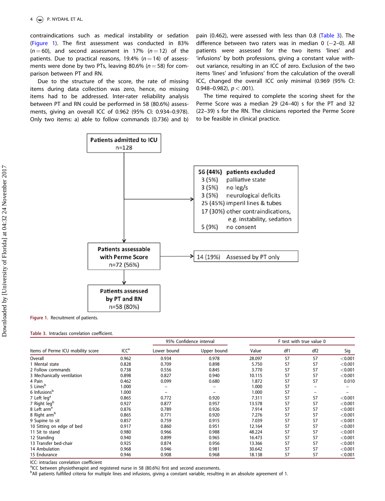contraindications such as medical instability or sedation (Figure 1). The first assessment was conducted in 83%  $(n = 60)$ , and second assessment in 17%  $(n = 12)$  of the patients. Due to practical reasons, 19.4% ( $n = 14$ ) of assessments were done by two PTs, leaving 80.6% ( $n = 58$ ) for comparison between PT and RN.

Due to the structure of the score, the rate of missing items during data collection was zero, hence, no missing items had to be addressed. Inter-rater reliability analysis between PT and RN could be performed in 58 (80.6%) assessments, giving an overall ICC of 0.962 (95% CI: 0.934–0.978). Only two items: a) able to follow commands (0.736) and b) pain (0.462), were assessed with less than 0.8 (Table 3). The difference between two raters was in median 0  $(-2-0)$ . All patients were assessed for the two items 'lines' and 'infusions' by both professions, giving a constant value without variance, resulting in an ICC of zero. Exclusion of the two items 'lines' and 'infusions' from the calculation of the overall ICC, changed the overall ICC only minimal (0.969 (95% CI: 0.948–0.982),  $p < .001$ ).

The time required to complete the scoring sheet for the Perme Score was a median 29 (24–40) s for the PT and 32 (22–39) s for the RN. The clinicians reported the Perme Score to be feasible in clinical practice.



Figure 1. Recruitment of patients.

#### Table 3. Intraclass correlation coefficient.

|                                   |                  | 95% Confidence interval |             | F test with true value 0 |     |                 |         |
|-----------------------------------|------------------|-------------------------|-------------|--------------------------|-----|-----------------|---------|
| Items of Perme ICU mobility score | ICC <sup>a</sup> | Lower bound             | Upper bound | Value                    | df1 | df <sub>2</sub> | Sig     |
| Overall                           | 0.962            | 0.934                   | 0.978       | 28.097                   | 57  | 57              | < 0.001 |
| 1 Mental state                    | 0.828            | 0.709                   | 0.898       | 5.750                    | 57  | 57              | < 0.001 |
| 2 Follow commands                 | 0.738            | 0.556                   | 0.845       | 3.770                    | 57  | 57              | < 0.001 |
| 3 Mechanically ventilation        | 0.898            | 0.827                   | 0.940       | 10.115                   | 57  | 57              | < 0.001 |
| 4 Pain                            | 0.462            | 0.099                   | 0.680       | 1.872                    | 57  | 57              | 0.010   |
| 5 Lines <sup>b</sup>              | 1.000            |                         | -           | 1.000                    | 57  |                 |         |
| 6 Infusions <sup>b</sup>          | 1.000            |                         |             | 1.000                    | 57  |                 |         |
| 7 Left leg <sup>a</sup>           | 0.865            | 0.772                   | 0.920       | 7.311                    | 57  | 57              | < 0.001 |
| 7 Right leg <sup>b</sup>          | 0.927            | 0.877                   | 0.957       | 13.578                   | 57  | 57              | < 0.001 |
| 8 Left arm <sup>a</sup>           | 0.876            | 0.789                   | 0.926       | 7.914                    | 57  | 57              | < 0.001 |
| 8 Right arm <sup>b</sup>          | 0.865            | 0.771                   | 0.920       | 7.276                    | 57  | 57              | < 0.001 |
| 9 Supine to sit                   | 0.857            | 0.759                   | 0.915       | 7.039                    | 57  | 57              | < 0.001 |
| 10 Sitting on edge of bed         | 0.917            | 0.860                   | 0.951       | 12.164                   | 57  | 57              | < 0.001 |
| 11 Sit to stand                   | 0.980            | 0.966                   | 0.988       | 48.224                   | 57  | 57              | < 0.001 |
| 12 Standing                       | 0.940            | 0.899                   | 0.965       | 16.473                   | 57  | 57              | < 0.001 |
| 13 Transfer bed-chair             | 0.925            | 0.874                   | 0.956       | 13.366                   | 57  | 57              | < 0.001 |
| 14 Ambulation                     | 0.968            | 0.946                   | 0.981       | 30.642                   | 57  | 57              | < 0.001 |
| 15 Endurance                      | 0.946            | 0.908                   | 0.968       | 18.138                   | 57  | 57              | < 0.001 |

ICC: intraclass correlation coefficient

<sup>a</sup>ICC between physiotherapist and registered nurse in 58 (80.6%) first and second assessments.

b<br>All patients fulfilled criteria for multiple lines and infusions, giving a constant variable, resulting in an absolute agreement of 1.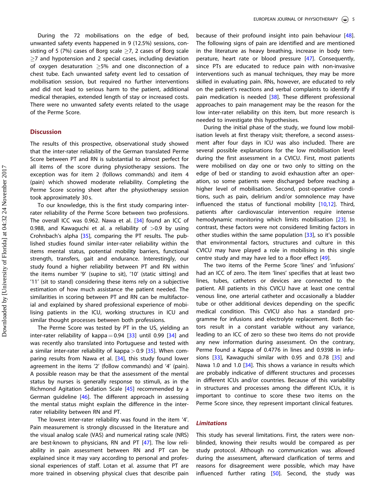<span id="page-5-0"></span>During the 72 mobilisations on the edge of bed, unwanted safety events happened in 9 (12.5%) sessions, consisting of 5 (7%) cases of Borg scale  $\geq$ 7, 2 cases of Borg scale  $\geq$ 7 and hypotension and 2 special cases, including deviation of oxygen desaturation  $>5%$  and one disconnection of a chest tube. Each unwanted safety event led to cessation of mobilisation session, but required no further interventions and did not lead to serious harm to the patient, additional medical therapies, extended length of stay or increased costs. There were no unwanted safety events related to the usage of the Perme Score.

#### **Discussion**

The results of this prospective, observational study showed that the inter-rater reliability of the German translated Perme Score between PT and RN is substantial to almost perfect for all items of the score during physiotherapy sessions. The exception was for item 2 (follows commands) and item 4 (pain) which showed moderate reliability. Completing the Perme Score scoring sheet after the physiotherapy session took approximately 30 s.

To our knowledge, this is the first study comparing interrater reliability of the Perme Score between two professions. The overall ICC was 0.962. Nawa et al. [\[34\]](#page-7-0) found an ICC of 0.988, and Kawaguchi et al. a reliability of  $>0.9$  by using Crohnbach's alpha [[35](#page-7-0)], comparing the PT results. The published studies found similar inter-rater reliability within the items mental status, potential mobility barriers, functional strength, transfers, gait and endurance. Interestingly, our study found a higher reliability between PT and RN within the items number '9' (supine to sit), '10' (static sitting) and '11' (sit to stand) considering these items rely on a subjective estimation of how much assistance the patient needed. The similarities in scoring between PT and RN can be multifactorial and explained by shared professional experience of mobilising patients in the ICU, working structures in ICU and similar thought processes between both professions.

The Perme Score was tested by PT in the US, yielding an inter-rater reliability of kappa  $= 0.94$  [[33\]](#page-7-0) until 0.99 [[34](#page-7-0)] and was recently also translated into Portuguese and tested with a similar inter-rater reliability of kappa  $> 0.9$  [[35](#page-7-0)]. When comparing results from Nawa et al. [\[34](#page-7-0)], this study found lower agreement in the items '2' (follow commands) and '4' (pain). A possible reason may be that the assessment of the mental status by nurses is generally response to stimuli, as in the Richmond Agitation Sedation Scale [[45](#page-7-0)] recommended by a German guideline [\[46\]](#page-7-0). The different approach in assessing the mental status might explain the difference in the interrater reliability between RN and PT.

The lowest inter-rater reliability was found in the item '4'. Pain measurement is strongly discussed in the literature and the visual analog scale (VAS) and numerical rating scale (NRS) are best-known to physicians, RN and PT [\[47](#page-7-0)]. The low reliability in pain assessment between RN and PT can be explained since it may vary according to personal and professional experiences of staff. Lotan et al. assume that PT are more trained in observing physical clues that describe pain because of their profound insight into pain behaviour [\[48\]](#page-7-0). The following signs of pain are identified and are mentioned in the literature as heavy breathing, increase in body temperature, heart rate or blood pressure [[47\]](#page-7-0). Consequently, since PTs are educated to reduce pain with non-invasive interventions such as manual techniques, they may be more skilled in evaluating pain. RNs, however, are educated to rely on the patient's reactions and verbal complaints to identify if pain medication is needed [[38\]](#page-7-0). These different professional approaches to pain management may be the reason for the low inter-rater reliability on this item, but more research is needed to investigate this hypothesises.

During the initial phase of the study, we found low mobilisation levels at first therapy visit; therefore, a second assessment after four days in ICU was also included. There are several possible explanations for the low mobilisation level during the first assessment in a CVICU. First, most patients were mobilised on day one or two only to sitting on the edge of bed or standing to avoid exhaustion after an operation, so some patients were discharged before reaching a higher level of mobilisation. Second, post-operative conditions, such as pain, delirium and/or somnolence may have influenced the status of functional mobility [\[10,12\]](#page-6-0). Third, patients after cardiovascular intervention require intense hemodynamic monitoring which limits mobilisation [[23](#page-6-0)]. In contrast, these factors were not considered limiting factors in other studies within the same population  $[33]$ , so it's possible that environmental factors, structures and culture in this CVICU may have played a role in mobilising in this single centre study and may have led to a floor effect [\[49\]](#page-7-0).

The two items of the Perme Score 'lines' and 'infusions' had an ICC of zero. The item 'lines' specifies that at least two lines, tubes, catheters or devices are connected to the patient. All patients in this CVICU have at least one central venous line, one arterial catheter and occasionally a bladder tube or other additional devices depending on the specific medical condition. This CVICU also has a standard programme for infusions and electrolyte replacement. Both factors result in a constant variable without any variance, leading to an ICC of zero so these two items do not provide any new information during assessment. On the contrary, Perme found a Kappa of 0.4776 in lines and 0.9398 in infusions [[33\]](#page-7-0), Kawaguchi similar with 0.95 and 0.78 [[35](#page-7-0)] and Nawa 1.0 and 1.0 [[34](#page-7-0)]. This shows a variance in results which are probably indicative of different structures and processes in different ICUs and/or countries. Because of this variability in structures and processes among the different ICUs, it is important to continue to score these two items on the Perme Score since, they represent important clinical features.

#### **Limitations**

This study has several limitations. First, the raters were nonblinded, knowing their results would be compared as per study protocol. Although no communication was allowed during the assessment, afterward clarification of terms and reasons for disagreement were possible, which may have influenced further rating  $[50]$  $[50]$  $[50]$ . Second, the study was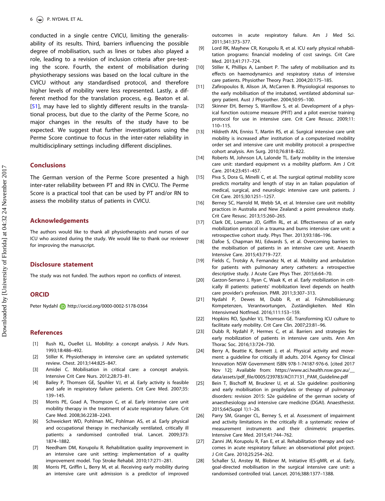<span id="page-6-0"></span>conducted in a single centre CVICU, limiting the generalisability of its results. Third, barriers influencing the possible degree of mobilisation, such as lines or tubes also played a role, leading to a revision of inclusion criteria after pre-testing the score. Fourth, the extent of mobilisation during physiotherapy sessions was based on the local culture in the CVICU without any standardised protocol, and therefore higher levels of mobility were less represented. Lastly, a different method for the translation process, e.g. Beaton et al. [[51](#page-7-0)], may have led to slightly different results in the translational process, but due to the clarity of the Perme Score, no major changes in the results of the study have to be expected. We suggest that further investigations using the Perme Score continue to focus in the inter-rater reliability in multidisciplinary settings including different disciplines.

## **Conclusions**

The German version of the Perme Score presented a high inter-rater reliability between PT and RN in CVICU. The Perme Score is a practical tool that can be used by PT and/or RN to assess the mobility status of patients in CVICU.

# Acknowledgements

The authors would like to thank all physiotherapists and nurses of our ICU who assisted during the study. We would like to thank our reviewer for improving the manuscript.

#### Disclosure statement

The study was not funded. The authors report no conflicts of interest.

#### ORCID

Peter Nydahl (D http://orcid.org/0000-0002-5178-0364

#### References

- [\[1\] R](#page-1-0)ush KL, Ouellet LL. Mobility: a concept analysis. J Adv Nurs. 1993;18:486–492.
- [\[2\] S](#page-1-0)tiller K. Physiotherapy in intensive care: an updated systematic review. Chest. 2013;144:825–847.
- [\[3\] A](#page-1-0)midei C. Mobilisation in critical care: a concept analysis. Intensive Crit Care Nurs. 2012;28:73–81.
- [\[4\] B](#page-1-0)ailey P, Thomsen GE, Spuhler VJ, et al. Early activity is feasible and safe in respiratory failure patients. Crit Care Med. 2007;35: 139–145.
- [\[5\] M](#page-1-0)orris PE, Goad A, Thompson C, et al. Early intensive care unit mobility therapy in the treatment of acute respiratory failure. Crit Care Med. 2008;36:2238–2243.
- [6] Schweickert WD, Pohlman MC, Pohlman AS, et al. Early physical and occupational therapy in mechanically ventilated, critically ill patients: a randomised controlled trial. Lancet. 2009;373: 1874–1882.
- [7] Needham DM, Korupolu R. Rehabilitation quality improvement in an intensive care unit setting: implementation of a quality improvement model. Top Stroke Rehabil. 2010;17:271–281.
- [8] Morris PE, Griffin L, Berry M, et al. Receiving early mobility during an intensive care unit admission is a predictor of improved

outcomes in acute respiratory failure. Am J Med Sci. 2011;341:373–377.

- [\[9\] L](#page-1-0)ord RK, Mayhew CR, Korupolu R, et al. ICU early physical rehabilitation programs: financial modeling of cost savings. Crit Care Med. 2013;41:717–724.
- [\[10\] S](#page-1-0)tiller K, Phillips A, Lambert P. The safety of mobilisation and its effects on haemodynamics and respiratory status of intensive care patients. Physiother Theory Pract. 2004;20:175–185.
- [11] Zafiropoulos B, Alison JA, McCarren B. Physiological responses to the early mobilisation of the intubated, ventilated abdominal surgery patient. Aust J Physiother. 2004;50:95–100.
- [\[12\] S](#page-1-0)kinner EH, Berney S, Warrillow S, et al. Development of a physical function outcome measure (PFIT) and a pilot exercise training protocol for use in intensive care. Crit Care Resusc. 2009;11: 110–115.
- [\[13\] H](#page-1-0)ildreth AN, Enniss T, Martin RS, et al. Surgical intensive care unit mobility is increased after institution of a computerized mobility order set and intensive care unit mobility protocol: a prospective cohort analysis. Am Surg. 2010;76:818–822.
- [14] Roberts M, Johnson LA, Lalonde TL. Early mobility in the intensive care unit: standard equipment vs a mobility platform. Am J Crit Care. 2014;23:451–457.
- [\[15\] P](#page-1-0)iva S, Dora G, Minelli C, et al. The surgical optimal mobility score predicts mortality and length of stay in an Italian population of medical, surgical, and neurologic intensive care unit patients. J Crit Care. 2015;30:1251–1257.
- [\[16\] B](#page-1-0)erney SC, Harrold M, Webb SA, et al. Intensive care unit mobility practices in Australia and New Zealand: a point prevalence study. Crit Care Resusc. 2013;15:260–265.
- [17] Clark DE, Lowman JD, Griffin RL, et al. Effectiveness of an early mobilization protocol in a trauma and burns intensive care unit: a retrospective cohort study. Phys Ther. 2013;93:186–196.
- [18] Dafoe S, Chapman MJ, Edwards S, et al. Overcoming barriers to the mobilisation of patients in an intensive care unit. Anaesth Intensive Care. 2015;43:719–727.
- [\[19\] F](#page-1-0)ields C, Trotsky A, Fernandez N, et al. Mobility and ambulation for patients with pulmonary artery catheters: a retrospective descriptive study. J Acute Care Phys Ther. 2015;6:64–70.
- [\[20\] G](#page-1-0)arzon-Serrano J, Ryan C, Waak K, et al. Early mobilization in critically ill patients: patients' mobilization level depends on health care provider's profession. PMR. 2011;3:307–313.
- [\[21\] N](#page-1-0)ydahl P, Dewes M, Dubb R, et al. Frühmobilisierung: Kompetenzen, Verantwortungen, Zuständigkeiten. Med Klin Intensivmed Notfmed. 2016;111:153–159.
- [\[22\] H](#page-1-0)opkins RO, Spuhler VJ, Thomsen GE. Transforming ICU culture to facilitate early mobility. Crit Care Clin. 2007;23:81–96.
- [\[23\] D](#page-1-0)ubb R, Nydahl P, Hermes C, et al. Barriers and strategies for early mobilization of patients in intensive care units. Ann Am Thorac Soc. 2016;13:724–730.
- [\[24\] B](#page-1-0)erry A, Beattie K, Bennett J, et al. Physical activity and movement: a guideline for critically ill adults. 2014. Agency for Clinical Innovation NSW Government ISBN 978-1-74187-976-6. [cited 2017 Nov 12]; Available from: [https://www.aci.health.nsw.gov.au/\\_\\_](https://www.aci.health.nsw.gov.au/__data/assets/pdf_file/0005/239783/ACI17131_PAM_Guideline.pdf) [data/assets/pdf\\_file/0005/239783/ACI17131\\_PAM\\_Guideline.pdf](https://www.aci.health.nsw.gov.au/__data/assets/pdf_file/0005/239783/ACI17131_PAM_Guideline.pdf)
- [\[25\] B](#page-1-0)ein T, Bischoff M, Bruckner U, et al. S2e guideline: positioning and early mobilisation in prophylaxis or therapy of pulmonary disorders: revision 2015: S2e guideline of the german society of anaesthesiology and intensive care medicine (DGAI). Anaesthesist. 2015;64(Suppl 1):1–26.
- [\[26\] P](#page-1-0)arry SM, Granger CL, Berney S, et al. Assessment of impairment and activity limitations in the critically ill: a systematic review of measurement instruments and their clinimetric properties. Intensive Care Med. 2015;41:744–762.
- [\[27\] Z](#page-1-0)anni JM, Korupolu R, Fan E, et al. Rehabilitation therapy and outcomes in acute respiratory failure: an observational pilot project. J Crit Care. 2010;25:254–262.
- [\[28\] S](#page-1-0)challer SJ, Anstey M, Blobner M, Initiative IES-gMR, et al. Early, goal-directed mobilisation in the surgical intensive care unit: a randomised controlled trial. Lancet. 2016;388:1377–1388.